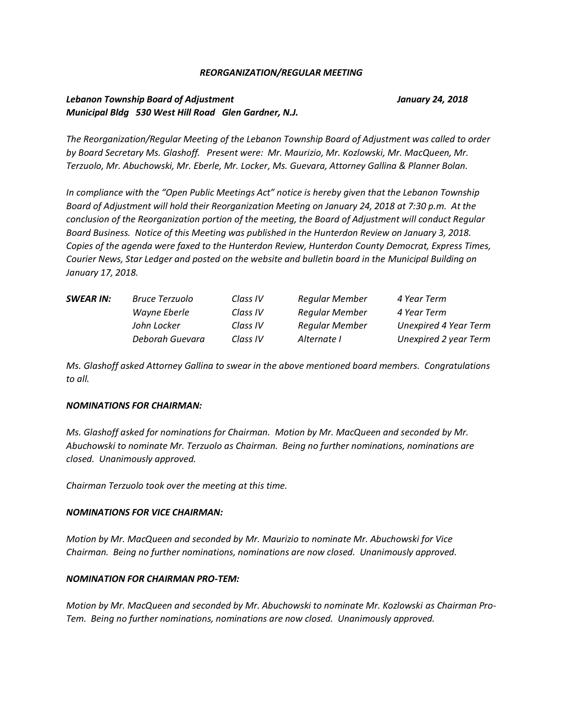#### *REORGANIZATION/REGULAR MEETING*

## *Lebanon Township Board of Adjustment January 24, 2018 Municipal Bldg 530 West Hill Road Glen Gardner, N.J.*

*The Reorganization/Regular Meeting of the Lebanon Township Board of Adjustment was called to order by Board Secretary Ms. Glashoff. Present were: Mr. Maurizio, Mr. Kozlowski, Mr. MacQueen, Mr. Terzuolo, Mr. Abuchowski, Mr. Eberle, Mr. Locker, Ms. Guevara, Attorney Gallina & Planner Bolan.*

*In compliance with the "Open Public Meetings Act" notice is hereby given that the Lebanon Township Board of Adjustment will hold their Reorganization Meeting on January 24, 2018 at 7:30 p.m. At the conclusion of the Reorganization portion of the meeting, the Board of Adjustment will conduct Regular Board Business. Notice of this Meeting was published in the Hunterdon Review on January 3, 2018. Copies of the agenda were faxed to the Hunterdon Review, Hunterdon County Democrat, Express Times, Courier News, Star Ledger and posted on the website and bulletin board in the Municipal Building on January 17, 2018.*

| <b>SWEAR IN:</b> | Bruce Terzuolo  | Class IV | Regular Member        | 4 Year Term                  |
|------------------|-----------------|----------|-----------------------|------------------------------|
|                  | Wayne Eberle    | Class IV | <b>Regular Member</b> | 4 Year Term                  |
|                  | John Locker     | Class IV | <b>Regular Member</b> | <b>Unexpired 4 Year Term</b> |
|                  | Deborah Guevara | Class IV | Alternate I           | Unexpired 2 year Term        |

*Ms. Glashoff asked Attorney Gallina to swear in the above mentioned board members. Congratulations to all.*

#### *NOMINATIONS FOR CHAIRMAN:*

*Ms. Glashoff asked for nominations for Chairman. Motion by Mr. MacQueen and seconded by Mr. Abuchowski to nominate Mr. Terzuolo as Chairman. Being no further nominations, nominations are closed. Unanimously approved.*

*Chairman Terzuolo took over the meeting at this time.*

#### *NOMINATIONS FOR VICE CHAIRMAN:*

*Motion by Mr. MacQueen and seconded by Mr. Maurizio to nominate Mr. Abuchowski for Vice Chairman. Being no further nominations, nominations are now closed. Unanimously approved.*

#### *NOMINATION FOR CHAIRMAN PRO-TEM:*

*Motion by Mr. MacQueen and seconded by Mr. Abuchowski to nominate Mr. Kozlowski as Chairman Pro-Tem. Being no further nominations, nominations are now closed. Unanimously approved.*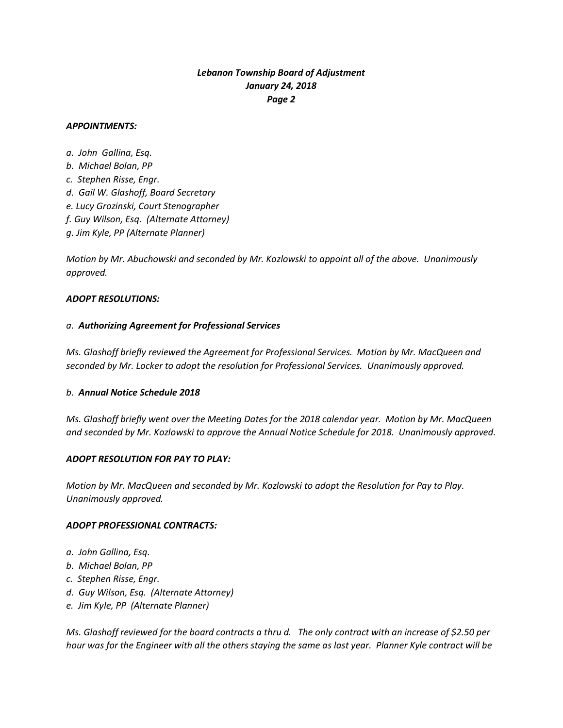### *APPOINTMENTS:*

*a. John Gallina, Esq. b. Michael Bolan, PP c. Stephen Risse, Engr. d. Gail W. Glashoff, Board Secretary e. Lucy Grozinski, Court Stenographer f. Guy Wilson, Esq. (Alternate Attorney) g. Jim Kyle, PP (Alternate Planner)* 

*Motion by Mr. Abuchowski and seconded by Mr. Kozlowski to appoint all of the above. Unanimously approved.*

### *ADOPT RESOLUTIONS:*

## *a. Authorizing Agreement for Professional Services*

*Ms. Glashoff briefly reviewed the Agreement for Professional Services. Motion by Mr. MacQueen and seconded by Mr. Locker to adopt the resolution for Professional Services. Unanimously approved.*

## *b. Annual Notice Schedule 2018*

*Ms. Glashoff briefly went over the Meeting Dates for the 2018 calendar year. Motion by Mr. MacQueen and seconded by Mr. Kozlowski to approve the Annual Notice Schedule for 2018. Unanimously approved.*

#### *ADOPT RESOLUTION FOR PAY TO PLAY:*

*Motion by Mr. MacQueen and seconded by Mr. Kozlowski to adopt the Resolution for Pay to Play. Unanimously approved.*

#### *ADOPT PROFESSIONAL CONTRACTS:*

- *a. John Gallina, Esq.*
- *b. Michael Bolan, PP*
- *c. Stephen Risse, Engr.*
- *d. Guy Wilson, Esq. (Alternate Attorney)*
- *e. Jim Kyle, PP (Alternate Planner)*

*Ms. Glashoff reviewed for the board contracts a thru d. The only contract with an increase of \$2.50 per hour was for the Engineer with all the others staying the same as last year. Planner Kyle contract will be*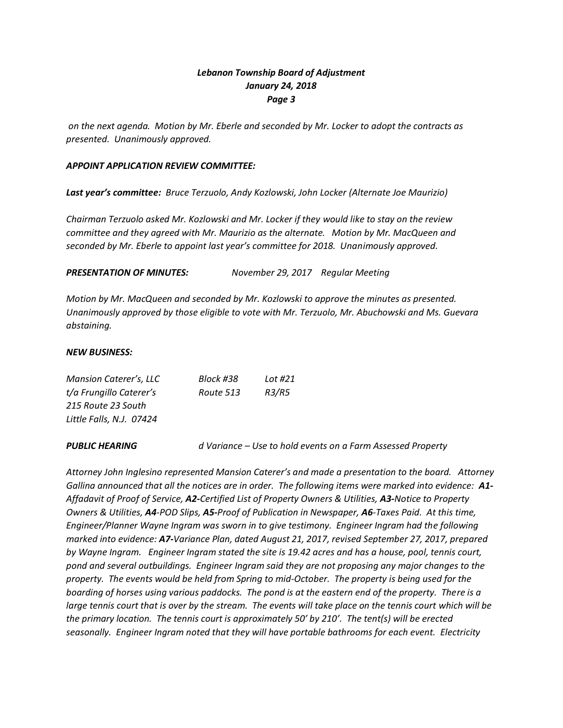*on the next agenda. Motion by Mr. Eberle and seconded by Mr. Locker to adopt the contracts as presented. Unanimously approved.*

### *APPOINT APPLICATION REVIEW COMMITTEE:*

*Last year's committee: Bruce Terzuolo, Andy Kozlowski, John Locker (Alternate Joe Maurizio)*

*Chairman Terzuolo asked Mr. Kozlowski and Mr. Locker if they would like to stay on the review committee and they agreed with Mr. Maurizio as the alternate. Motion by Mr. MacQueen and seconded by Mr. Eberle to appoint last year's committee for 2018. Unanimously approved.*

## *PRESENTATION OF MINUTES: November 29, 2017 Regular Meeting*

*Motion by Mr. MacQueen and seconded by Mr. Kozlowski to approve the minutes as presented. Unanimously approved by those eligible to vote with Mr. Terzuolo, Mr. Abuchowski and Ms. Guevara abstaining.*

#### *NEW BUSINESS:*

| Mansion Caterer's, LLC   | Block #38 | Lot #21 |
|--------------------------|-----------|---------|
| t/a Frungillo Caterer's  | Route 513 | R3/R5   |
| 215 Route 23 South       |           |         |
| Little Falls, N.J. 07424 |           |         |
|                          |           |         |

*PUBLIC HEARING d Variance – Use to hold events on a Farm Assessed Property*

*Attorney John Inglesino represented Mansion Caterer's and made a presentation to the board. Attorney Gallina announced that all the notices are in order. The following items were marked into evidence: A1- Affadavit of Proof of Service, A2-Certified List of Property Owners & Utilities, A3-Notice to Property Owners & Utilities, A4-POD Slips, A5-Proof of Publication in Newspaper, A6-Taxes Paid. At this time, Engineer/Planner Wayne Ingram was sworn in to give testimony. Engineer Ingram had the following marked into evidence: A7-Variance Plan, dated August 21, 2017, revised September 27, 2017, prepared by Wayne Ingram. Engineer Ingram stated the site is 19.42 acres and has a house, pool, tennis court, pond and several outbuildings. Engineer Ingram said they are not proposing any major changes to the property. The events would be held from Spring to mid-October. The property is being used for the boarding of horses using various paddocks. The pond is at the eastern end of the property. There is a large tennis court that is over by the stream. The events will take place on the tennis court which will be the primary location. The tennis court is approximately 50' by 210'. The tent(s) will be erected seasonally. Engineer Ingram noted that they will have portable bathrooms for each event. Electricity*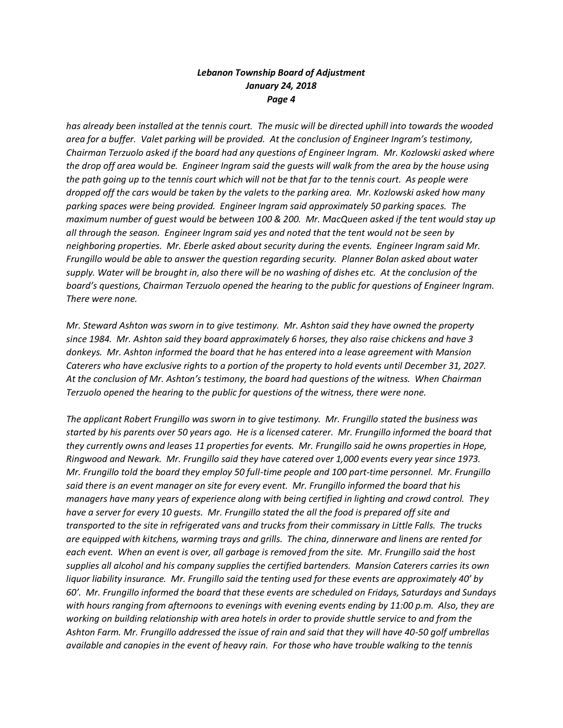*has already been installed at the tennis court. The music will be directed uphill into towards the wooded area for a buffer. Valet parking will be provided. At the conclusion of Engineer Ingram's testimony, Chairman Terzuolo asked if the board had any questions of Engineer Ingram. Mr. Kozlowski asked where the drop off area would be. Engineer Ingram said the guests will walk from the area by the house using the path going up to the tennis court which will not be that far to the tennis court. As people were dropped off the cars would be taken by the valets to the parking area. Mr. Kozlowski asked how many parking spaces were being provided. Engineer Ingram said approximately 50 parking spaces. The maximum number of guest would be between 100 & 200. Mr. MacQueen asked if the tent would stay up all through the season. Engineer Ingram said yes and noted that the tent would not be seen by neighboring properties. Mr. Eberle asked about security during the events. Engineer Ingram said Mr. Frungillo would be able to answer the question regarding security. Planner Bolan asked about water supply. Water will be brought in, also there will be no washing of dishes etc. At the conclusion of the board's questions, Chairman Terzuolo opened the hearing to the public for questions of Engineer Ingram. There were none.*

*Mr. Steward Ashton was sworn in to give testimony. Mr. Ashton said they have owned the property since 1984. Mr. Ashton said they board approximately 6 horses, they also raise chickens and have 3 donkeys. Mr. Ashton informed the board that he has entered into a lease agreement with Mansion Caterers who have exclusive rights to a portion of the property to hold events until December 31, 2027. At the conclusion of Mr. Ashton's testimony, the board had questions of the witness. When Chairman Terzuolo opened the hearing to the public for questions of the witness, there were none.* 

*The applicant Robert Frungillo was sworn in to give testimony. Mr. Frungillo stated the business was started by his parents over 50 years ago. He is a licensed caterer. Mr. Frungillo informed the board that they currently owns and leases 11 properties for events. Mr. Frungillo said he owns properties in Hope, Ringwood and Newark. Mr. Frungillo said they have catered over 1,000 events every year since 1973. Mr. Frungillo told the board they employ 50 full-time people and 100 part-time personnel. Mr. Frungillo said there is an event manager on site for every event. Mr. Frungillo informed the board that his managers have many years of experience along with being certified in lighting and crowd control. They have a server for every 10 guests. Mr. Frungillo stated the all the food is prepared off site and transported to the site in refrigerated vans and trucks from their commissary in Little Falls. The trucks are equipped with kitchens, warming trays and grills. The china, dinnerware and linens are rented for each event. When an event is over, all garbage is removed from the site. Mr. Frungillo said the host supplies all alcohol and his company supplies the certified bartenders. Mansion Caterers carries its own liquor liability insurance. Mr. Frungillo said the tenting used for these events are approximately 40' by 60'. Mr. Frungillo informed the board that these events are scheduled on Fridays, Saturdays and Sundays with hours ranging from afternoons to evenings with evening events ending by 11:00 p.m. Also, they are working on building relationship with area hotels in order to provide shuttle service to and from the Ashton Farm. Mr. Frungillo addressed the issue of rain and said that they will have 40-50 golf umbrellas available and canopies in the event of heavy rain. For those who have trouble walking to the tennis*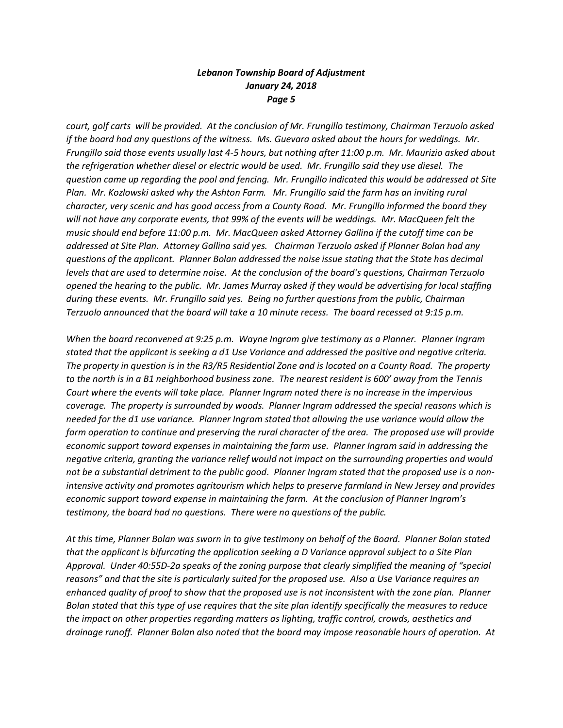*court, golf carts will be provided. At the conclusion of Mr. Frungillo testimony, Chairman Terzuolo asked if the board had any questions of the witness. Ms. Guevara asked about the hours for weddings. Mr. Frungillo said those events usually last 4-5 hours, but nothing after 11:00 p.m. Mr. Maurizio asked about the refrigeration whether diesel or electric would be used. Mr. Frungillo said they use diesel. The question came up regarding the pool and fencing. Mr. Frungillo indicated this would be addressed at Site Plan. Mr. Kozlowski asked why the Ashton Farm. Mr. Frungillo said the farm has an inviting rural character, very scenic and has good access from a County Road. Mr. Frungillo informed the board they will not have any corporate events, that 99% of the events will be weddings. Mr. MacQueen felt the music should end before 11:00 p.m. Mr. MacQueen asked Attorney Gallina if the cutoff time can be addressed at Site Plan. Attorney Gallina said yes. Chairman Terzuolo asked if Planner Bolan had any questions of the applicant. Planner Bolan addressed the noise issue stating that the State has decimal levels that are used to determine noise. At the conclusion of the board's questions, Chairman Terzuolo opened the hearing to the public. Mr. James Murray asked if they would be advertising for local staffing during these events. Mr. Frungillo said yes. Being no further questions from the public, Chairman Terzuolo announced that the board will take a 10 minute recess. The board recessed at 9:15 p.m.* 

*When the board reconvened at 9:25 p.m. Wayne Ingram give testimony as a Planner. Planner Ingram stated that the applicant is seeking a d1 Use Variance and addressed the positive and negative criteria. The property in question is in the R3/R5 Residential Zone and is located on a County Road. The property to the north is in a B1 neighborhood business zone. The nearest resident is 600' away from the Tennis Court where the events will take place. Planner Ingram noted there is no increase in the impervious coverage. The property is surrounded by woods. Planner Ingram addressed the special reasons which is needed for the d1 use variance. Planner Ingram stated that allowing the use variance would allow the farm operation to continue and preserving the rural character of the area. The proposed use will provide economic support toward expenses in maintaining the farm use. Planner Ingram said in addressing the negative criteria, granting the variance relief would not impact on the surrounding properties and would not be a substantial detriment to the public good. Planner Ingram stated that the proposed use is a nonintensive activity and promotes agritourism which helps to preserve farmland in New Jersey and provides economic support toward expense in maintaining the farm. At the conclusion of Planner Ingram's testimony, the board had no questions. There were no questions of the public.* 

*At this time, Planner Bolan was sworn in to give testimony on behalf of the Board. Planner Bolan stated that the applicant is bifurcating the application seeking a D Variance approval subject to a Site Plan Approval. Under 40:55D-2a speaks of the zoning purpose that clearly simplified the meaning of "special reasons" and that the site is particularly suited for the proposed use. Also a Use Variance requires an enhanced quality of proof to show that the proposed use is not inconsistent with the zone plan. Planner Bolan stated that this type of use requires that the site plan identify specifically the measures to reduce the impact on other properties regarding matters as lighting, traffic control, crowds, aesthetics and drainage runoff. Planner Bolan also noted that the board may impose reasonable hours of operation. At*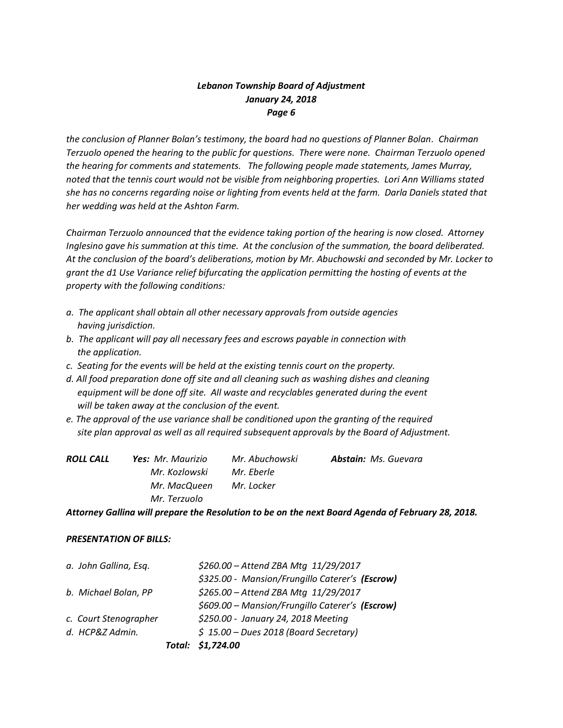*the conclusion of Planner Bolan's testimony, the board had no questions of Planner Bolan. Chairman Terzuolo opened the hearing to the public for questions. There were none. Chairman Terzuolo opened the hearing for comments and statements. The following people made statements, James Murray, noted that the tennis court would not be visible from neighboring properties. Lori Ann Williams stated she has no concerns regarding noise or lighting from events held at the farm. Darla Daniels stated that her wedding was held at the Ashton Farm.* 

*Chairman Terzuolo announced that the evidence taking portion of the hearing is now closed. Attorney Inglesino gave his summation at this time. At the conclusion of the summation, the board deliberated. At the conclusion of the board's deliberations, motion by Mr. Abuchowski and seconded by Mr. Locker to grant the d1 Use Variance relief bifurcating the application permitting the hosting of events at the property with the following conditions:*

- *a. The applicant shall obtain all other necessary approvals from outside agencies having jurisdiction.*
- *b. The applicant will pay all necessary fees and escrows payable in connection with the application.*
- *c. Seating for the events will be held at the existing tennis court on the property.*
- *d. All food preparation done off site and all cleaning such as washing dishes and cleaning equipment will be done off site. All waste and recyclables generated during the event will be taken away at the conclusion of the event.*
- *e. The approval of the use variance shall be conditioned upon the granting of the required site plan approval as well as all required subsequent approvals by the Board of Adjustment.*

| ROLL CALL | <b>Yes:</b> Mr. Maurizio | Mr. Abuchowski | <b>Abstain:</b> Ms. Guevara |  |
|-----------|--------------------------|----------------|-----------------------------|--|
|           | Mr. Kozlowski            | Mr. Eberle     |                             |  |
|           | Mr. MacQueen             | Mr. Locker     |                             |  |
|           | Mr. Terzuolo             |                |                             |  |

*Attorney Gallina will prepare the Resolution to be on the next Board Agenda of February 28, 2018.*

## *PRESENTATION OF BILLS:*

|                       | Total: \$1,724.00                               |
|-----------------------|-------------------------------------------------|
| d. HCP&Z Admin.       | $$ 15.00 - Dues 2018 (Board Secretary)$         |
| c. Court Stenographer | \$250.00 - January 24, 2018 Meeting             |
|                       | \$609.00 - Mansion/Frungillo Caterer's (Escrow) |
| b. Michael Bolan, PP  | \$265.00 - Attend ZBA Mtg 11/29/2017            |
|                       | \$325.00 - Mansion/Frungillo Caterer's (Escrow) |
| a. John Gallina, Esq. | \$260.00 - Attend ZBA Mtg 11/29/2017            |